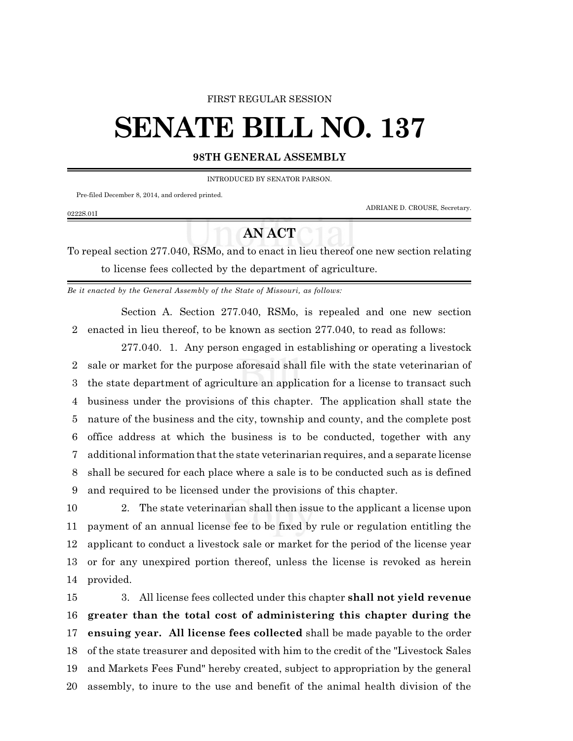### FIRST REGULAR SESSION

# **SENATE BILL NO. 137**

### **98TH GENERAL ASSEMBLY**

INTRODUCED BY SENATOR PARSON.

Pre-filed December 8, 2014, and ordered printed.

ADRIANE D. CROUSE, Secretary.

## 0222S.01I

# **AN ACT**

To repeal section 277.040, RSMo, and to enact in lieu thereof one new section relating to license fees collected by the department of agriculture.

*Be it enacted by the General Assembly of the State of Missouri, as follows:*

Section A. Section 277.040, RSMo, is repealed and one new section enacted in lieu thereof, to be known as section 277.040, to read as follows:

277.040. 1. Any person engaged in establishing or operating a livestock sale or market for the purpose aforesaid shall file with the state veterinarian of the state department of agriculture an application for a license to transact such business under the provisions of this chapter. The application shall state the nature of the business and the city, township and county, and the complete post office address at which the business is to be conducted, together with any additional information that the state veterinarian requires, and a separate license shall be secured for each place where a sale is to be conducted such as is defined and required to be licensed under the provisions of this chapter.

 2. The state veterinarian shall then issue to the applicant a license upon payment of an annual license fee to be fixed by rule or regulation entitling the applicant to conduct a livestock sale or market for the period of the license year or for any unexpired portion thereof, unless the license is revoked as herein provided.

 3. All license fees collected under this chapter **shall not yield revenue greater than the total cost of administering this chapter during the ensuing year. All license fees collected** shall be made payable to the order of the state treasurer and deposited with him to the credit of the "Livestock Sales and Markets Fees Fund" hereby created, subject to appropriation by the general assembly, to inure to the use and benefit of the animal health division of the